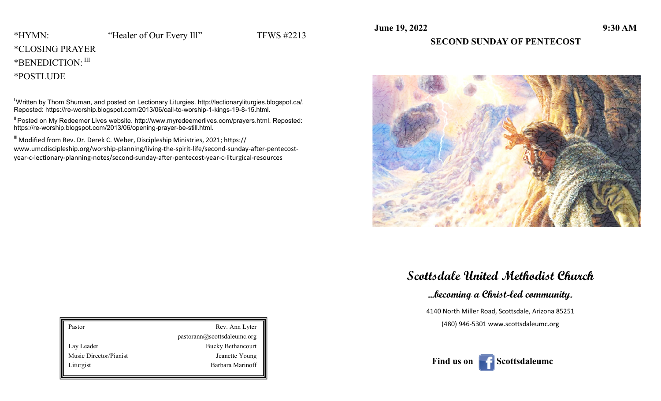**June 19, 2022** 9:30 AM

### \*CLOSING PRAYER \*BENEDICTION: III

\*POSTLUDE

I Written by Thom Shuman, and posted on Lectionary Liturgies. http://lectionaryliturgies.blogspot.ca/. Reposted: https://re-worship.blogspot.com/2013/06/call-to-worship-1-kings-19-8-15.html.

II Posted on My Redeemer Lives website. http://www.myredeemerlives.com/prayers.html. Reposted: https://re-worship.blogspot.com/2013/06/opening-prayer-be-still.html.

<sup>III</sup> Modified from Rev. Dr. Derek C. Weber, Discipleship Ministries, 2021; https:// www.umcdiscipleship.org/worship-planning/living-the-spirit-life/second-sunday-after-pentecostyear-c-lectionary-planning-notes/second-sunday-after-pentecost-year-c-liturgical-resources

#### **SECOND SUNDAY OF PENTECOST**



**Scottsdale United Methodist Church**

**...becoming a Christ-led community.**

4140 North Miller Road, Scottsdale, Arizona 85251 (480) 946-5301 www.scottsdaleumc.org

| Pastor                 | Rev. Ann Lyter              |  |
|------------------------|-----------------------------|--|
|                        | pastorann@scottsdaleumc.org |  |
| Lay Leader             | <b>Bucky Bethancourt</b>    |  |
| Music Director/Pianist | Jeanette Young              |  |
| Liturgist              | Barbara Marinoff            |  |
|                        |                             |  |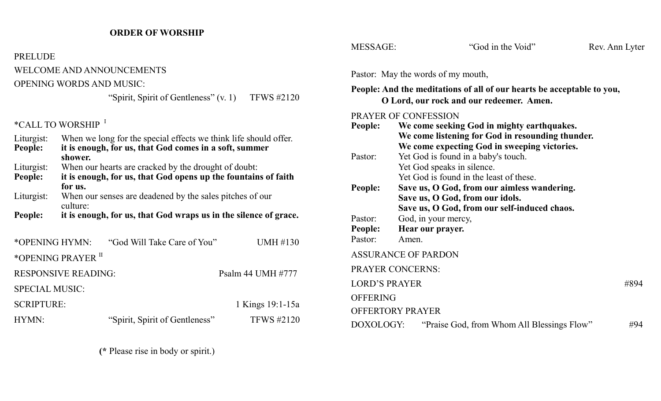## **ORDER OF WORSHIP**

| <b>PRELUDE</b>        |                                                                                                                                       |                   |
|-----------------------|---------------------------------------------------------------------------------------------------------------------------------------|-------------------|
|                       | <b>WELCOME AND ANNOUNCEMENTS</b>                                                                                                      |                   |
|                       | <b>OPENING WORDS AND MUSIC:</b>                                                                                                       |                   |
|                       | "Spirit, Spirit of Gentleness" $(v, 1)$ TFWS #2120                                                                                    |                   |
|                       | *CALL TO WORSHIP <sup>I</sup>                                                                                                         |                   |
| Liturgist:<br>People: | When we long for the special effects we think life should offer.<br>it is enough, for us, that God comes in a soft, summer<br>shower. |                   |
| Liturgist:<br>People: | When our hearts are cracked by the drought of doubt:<br>it is enough, for us, that God opens up the fountains of faith<br>for us.     |                   |
| Liturgist:            | When our senses are deadened by the sales pitches of our<br>culture:                                                                  |                   |
| <b>People:</b>        | it is enough, for us, that God wraps us in the silence of grace.                                                                      |                   |
| *OPENING HYMN:        | "God Will Take Care of You"                                                                                                           | UMH #130          |
|                       | *OPENING PRAYER <sup>II</sup>                                                                                                         |                   |
|                       | <b>RESPONSIVE READING:</b>                                                                                                            | Psalm 44 UMH #777 |
| <b>SPECIAL MUSIC:</b> |                                                                                                                                       |                   |

| <b>SCRIPTURE:</b> |                                | 1 Kings 19:1-15a  |
|-------------------|--------------------------------|-------------------|
| HYMN:             | "Spirit, Spirit of Gentleness" | <b>TFWS #2120</b> |

**(\*** Please rise in body or spirit.)

| <b>MESSAGE:</b>               | "God in the Void"                                                                                                                              | Rev. Ann Lyter |
|-------------------------------|------------------------------------------------------------------------------------------------------------------------------------------------|----------------|
|                               | Pastor: May the words of my mouth,                                                                                                             |                |
|                               | People: And the meditations of all of our hearts be acceptable to you,<br>O Lord, our rock and our redeemer. Amen.                             |                |
|                               | PRAYER OF CONFESSION                                                                                                                           |                |
| People:                       | We come seeking God in mighty earthquakes.<br>We come listening for God in resounding thunder.<br>We come expecting God in sweeping victories. |                |
| Pastor:                       | Yet God is found in a baby's touch.<br>Yet God speaks in silence.<br>Yet God is found in the least of these.                                   |                |
| People:                       | Save us, O God, from our aimless wandering.<br>Save us, O God, from our idols.<br>Save us, O God, from our self-induced chaos.                 |                |
| Pastor:<br>People:<br>Pastor: | God, in your mercy,<br>Hear our prayer.<br>Amen.                                                                                               |                |
|                               | <b>ASSURANCE OF PARDON</b>                                                                                                                     |                |
|                               | <b>PRAYER CONCERNS:</b>                                                                                                                        |                |
| <b>LORD'S PRAYER</b>          |                                                                                                                                                | #894           |
| <b>OFFERING</b>               |                                                                                                                                                |                |
|                               | <b>OFFERTORY PRAYER</b>                                                                                                                        |                |
| DOXOLOGY:                     | "Praise God, from Whom All Blessings Flow"                                                                                                     | #94            |